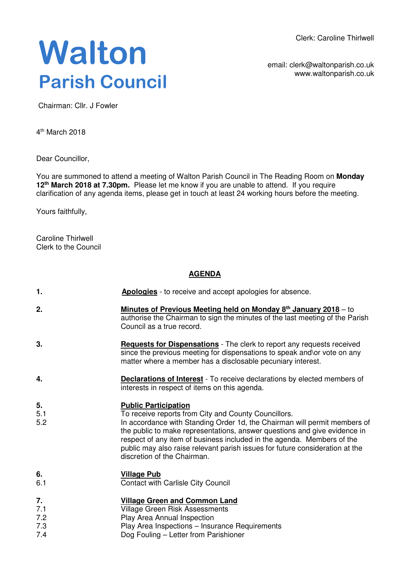Clerk: Caroline Thirlwell

# **Walton Parish Council**

email: clerk@waltonparish.co.uk www.waltonparish.co.uk

Chairman: Cllr. J Fowler

4<sup>th</sup> March 2018

Dear Councillor,

You are summoned to attend a meeting of Walton Parish Council in The Reading Room on **Monday 12th March 2018 at 7.30pm.** Please let me know if you are unable to attend. If you require clarification of any agenda items, please get in touch at least 24 working hours before the meeting.

Yours faithfully,

Caroline Thirlwell Clerk to the Council

# **AGENDA**

| 1.                      | Apologies - to receive and accept apologies for absence.                                                                                                                                                                                                                                                                                                                                                                               |
|-------------------------|----------------------------------------------------------------------------------------------------------------------------------------------------------------------------------------------------------------------------------------------------------------------------------------------------------------------------------------------------------------------------------------------------------------------------------------|
| 2.                      | <b>Minutes of Previous Meeting held on Monday 8th January 2018</b> – to<br>authorise the Chairman to sign the minutes of the last meeting of the Parish<br>Council as a true record.                                                                                                                                                                                                                                                   |
| 3.                      | Requests for Dispensations - The clerk to report any requests received<br>since the previous meeting for dispensations to speak and\or vote on any<br>matter where a member has a disclosable pecuniary interest.                                                                                                                                                                                                                      |
| 4.                      | <b>Declarations of Interest</b> - To receive declarations by elected members of<br>interests in respect of items on this agenda.                                                                                                                                                                                                                                                                                                       |
| 5.<br>5.1<br>5.2        | <b>Public Participation</b><br>To receive reports from City and County Councillors.<br>In accordance with Standing Order 1d, the Chairman will permit members of<br>the public to make representations, answer questions and give evidence in<br>respect of any item of business included in the agenda. Members of the<br>public may also raise relevant parish issues for future consideration at the<br>discretion of the Chairman. |
| 6.<br>6.1               | <b>Village Pub</b><br><b>Contact with Carlisle City Council</b>                                                                                                                                                                                                                                                                                                                                                                        |
| 7.<br>7.1<br>7.2<br>7.3 | <b>Village Green and Common Land</b><br><b>Village Green Risk Assessments</b><br>Play Area Annual Inspection<br>Play Area Inspections - Insurance Requirements                                                                                                                                                                                                                                                                         |

7.4 Dog Fouling – Letter from Parishioner